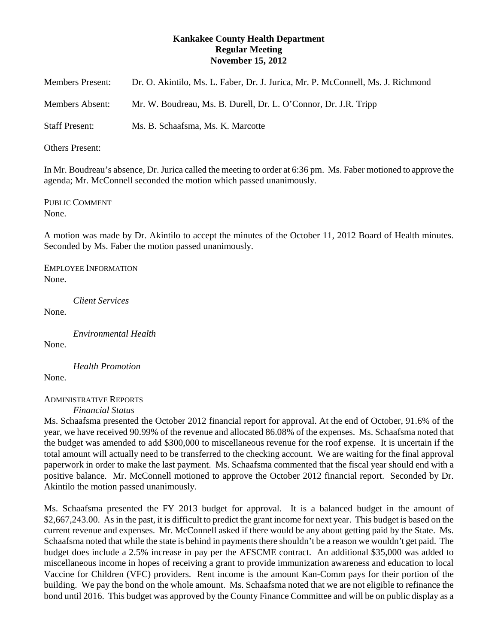# **Kankakee County Health Department Regular Meeting November 15, 2012**

| <b>Members Present:</b> | Dr. O. Akintilo, Ms. L. Faber, Dr. J. Jurica, Mr. P. McConnell, Ms. J. Richmond |
|-------------------------|---------------------------------------------------------------------------------|
| Members Absent:         | Mr. W. Boudreau, Ms. B. Durell, Dr. L. O'Connor, Dr. J.R. Tripp                 |
| <b>Staff Present:</b>   | Ms. B. Schaafsma, Ms. K. Marcotte                                               |

Others Present:

In Mr. Boudreau's absence, Dr. Jurica called the meeting to order at 6:36 pm. Ms. Faber motioned to approve the agenda; Mr. McConnell seconded the motion which passed unanimously.

PUBLIC COMMENT None.

A motion was made by Dr. Akintilo to accept the minutes of the October 11, 2012 Board of Health minutes. Seconded by Ms. Faber the motion passed unanimously.

EMPLOYEE INFORMATION None.

*Client Services*

None.

*Environmental Health*

None.

None.

*Health Promotion*

## ADMINISTRATIVE REPORTS

*Financial Status*

Ms. Schaafsma presented the October 2012 financial report for approval. At the end of October, 91.6% of the year, we have received 90.99% of the revenue and allocated 86.08% of the expenses. Ms. Schaafsma noted that the budget was amended to add \$300,000 to miscellaneous revenue for the roof expense. It is uncertain if the total amount will actually need to be transferred to the checking account. We are waiting for the final approval paperwork in order to make the last payment. Ms. Schaafsma commented that the fiscal year should end with a positive balance. Mr. McConnell motioned to approve the October 2012 financial report. Seconded by Dr. Akintilo the motion passed unanimously.

Ms. Schaafsma presented the FY 2013 budget for approval. It is a balanced budget in the amount of \$2,667,243.00. As in the past, it is difficult to predict the grant income for next year. This budget is based on the current revenue and expenses. Mr. McConnell asked if there would be any about getting paid by the State. Ms. Schaafsma noted that while the state is behind in payments there shouldn't be a reason we wouldn't get paid. The budget does include a 2.5% increase in pay per the AFSCME contract. An additional \$35,000 was added to miscellaneous income in hopes of receiving a grant to provide immunization awareness and education to local Vaccine for Children (VFC) providers. Rent income is the amount Kan-Comm pays for their portion of the building. We pay the bond on the whole amount. Ms. Schaafsma noted that we are not eligible to refinance the bond until 2016. This budget was approved by the County Finance Committee and will be on public display as a